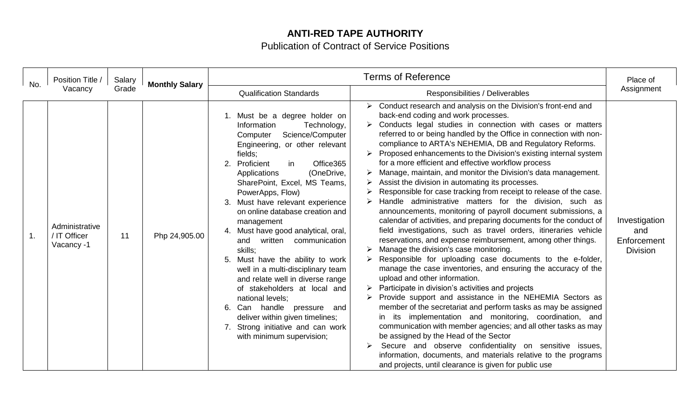## **ANTI-RED TAPE AUTHORITY**

Publication of Contract of Service Positions

| No.            | Position Title /<br>Vacancy                  | Salary<br>Grade | <b>Monthly Salary</b> | <b>Terms of Reference</b>                                                                                                                                                                                                                                                                                                                                                                                                                                                                                                                                                                                                                                                                                                                                   |                                                                                                                                                                                                                                                                                                                                                                                                                                                                                                                                                                                                                                                                                                                                                                                                                                                                                                                                                                                                                                                                                                                                                                                                                                                                                                                                                                                                                                                                                                                                                                                                                                                                                                                         | Place of                                               |
|----------------|----------------------------------------------|-----------------|-----------------------|-------------------------------------------------------------------------------------------------------------------------------------------------------------------------------------------------------------------------------------------------------------------------------------------------------------------------------------------------------------------------------------------------------------------------------------------------------------------------------------------------------------------------------------------------------------------------------------------------------------------------------------------------------------------------------------------------------------------------------------------------------------|-------------------------------------------------------------------------------------------------------------------------------------------------------------------------------------------------------------------------------------------------------------------------------------------------------------------------------------------------------------------------------------------------------------------------------------------------------------------------------------------------------------------------------------------------------------------------------------------------------------------------------------------------------------------------------------------------------------------------------------------------------------------------------------------------------------------------------------------------------------------------------------------------------------------------------------------------------------------------------------------------------------------------------------------------------------------------------------------------------------------------------------------------------------------------------------------------------------------------------------------------------------------------------------------------------------------------------------------------------------------------------------------------------------------------------------------------------------------------------------------------------------------------------------------------------------------------------------------------------------------------------------------------------------------------------------------------------------------------|--------------------------------------------------------|
|                |                                              |                 |                       | <b>Qualification Standards</b>                                                                                                                                                                                                                                                                                                                                                                                                                                                                                                                                                                                                                                                                                                                              | Responsibilities / Deliverables                                                                                                                                                                                                                                                                                                                                                                                                                                                                                                                                                                                                                                                                                                                                                                                                                                                                                                                                                                                                                                                                                                                                                                                                                                                                                                                                                                                                                                                                                                                                                                                                                                                                                         | Assignment                                             |
| $\mathbf{1}$ . | Administrative<br>/ IT Officer<br>Vacancy -1 | 11              | Php 24,905.00         | 1. Must be a degree holder on<br>Information<br>Technology,<br>Science/Computer<br>Computer<br>Engineering, or other relevant<br>fields;<br>Proficient<br>Office365<br>2.<br>in<br>(OneDrive,<br>Applications<br>SharePoint, Excel, MS Teams,<br>PowerApps, Flow)<br>Must have relevant experience<br>3.<br>on online database creation and<br>management<br>Must have good analytical, oral,<br>4.<br>written communication<br>and<br>skills;<br>Must have the ability to work<br>5.<br>well in a multi-disciplinary team<br>and relate well in diverse range<br>of stakeholders at local and<br>national levels;<br>Can handle pressure<br>6.<br>and<br>deliver within given timelines;<br>7. Strong initiative and can work<br>with minimum supervision; | Conduct research and analysis on the Division's front-end and<br>back-end coding and work processes.<br>Conducts legal studies in connection with cases or matters<br>referred to or being handled by the Office in connection with non-<br>compliance to ARTA's NEHEMIA, DB and Regulatory Reforms.<br>Proposed enhancements to the Division's existing internal system<br>for a more efficient and effective workflow process<br>Manage, maintain, and monitor the Division's data management.<br>Assist the division in automating its processes.<br>Responsible for case tracking from receipt to release of the case.<br>Handle administrative matters for the division, such as<br>announcements, monitoring of payroll document submissions, a<br>calendar of activities, and preparing documents for the conduct of<br>field investigations, such as travel orders, itineraries vehicle<br>reservations, and expense reimbursement, among other things.<br>Manage the division's case monitoring.<br>Responsible for uploading case documents to the e-folder,<br>manage the case inventories, and ensuring the accuracy of the<br>upload and other information.<br>Participate in division's activities and projects<br>Provide support and assistance in the NEHEMIA Sectors as<br>member of the secretariat and perform tasks as may be assigned<br>in its implementation and monitoring, coordination, and<br>communication with member agencies; and all other tasks as may<br>be assigned by the Head of the Sector<br>Secure and observe confidentiality on sensitive issues,<br>information, documents, and materials relative to the programs<br>and projects, until clearance is given for public use | Investigation<br>and<br>Enforcement<br><b>Division</b> |